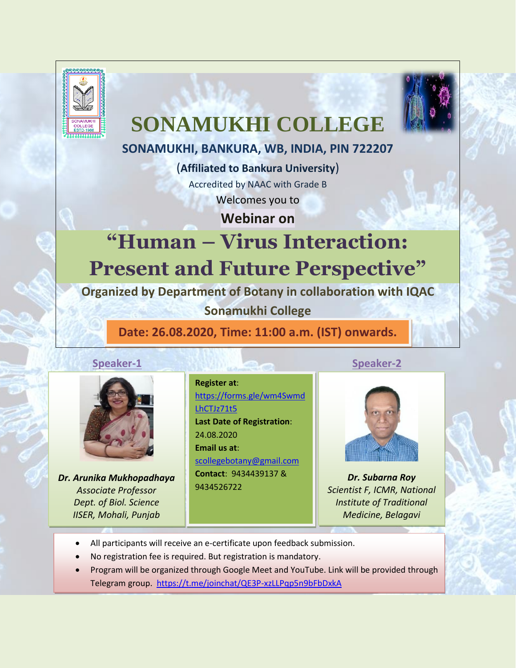

# **SONAMUKHI COLLEGE**

# **SONAMUKHI, BANKURA, WB, INDIA, PIN 722207**

(**Affiliated to Bankura University**) Accredited by NAAC with Grade B Welcomes you to

**Webinar on**

# **"Human – Virus Interaction: Present and Future Perspective"**

**Organized by Department of Botany in collaboration with IQAC** 

**Sonamukhi College**

**Date: 26.08.2020, Time: 11:00 a.m. (IST) onwards.**

# **Speaker-1** Speaker-2



*Dr. Arunika Mukhopadhaya Associate Professor Dept. of Biol. Science IISER, Mohali, Punjab*

**Register at**: [https://forms.gle/wm4Swmd](https://forms.gle/wm4SwmdLhCTJz71t5) [LhCTJz71t5](https://forms.gle/wm4SwmdLhCTJz71t5)  **Last Date of Registration**: 24.08.2020 **Email us at**: [scollegebotany@gmail.com](mailto:scollegebotany@gmail.com) **Contact**: 9434439137 & 9434526722



*Dr. Subarna Roy Scientist F, ICMR, National Institute of Traditional Medicine, Belagavi*

- All participants will receive an e-certificate upon feedback submission.
- No registration fee is required. But registration is mandatory.
- Program will be organized through Google Meet and YouTube. Link will be provided through Telegram group. <https://t.me/joinchat/QE3P-xzLLPqp5n9bFbDxkA>